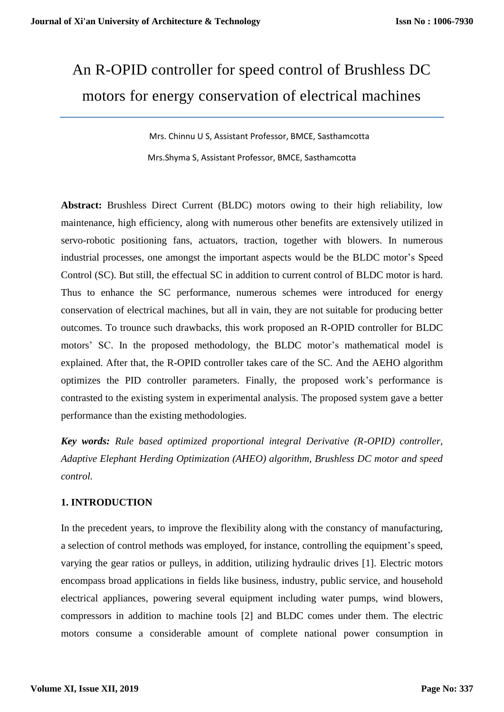# An R-OPID controller for speed control of Brushless DC motors for energy conservation of electrical machines

 Mrs. Chinnu U S, Assistant Professor, BMCE, Sasthamcotta Mrs.Shyma S, Assistant Professor, BMCE, Sasthamcotta

**Abstract:** Brushless Direct Current (BLDC) motors owing to their high reliability, low maintenance, high efficiency, along with numerous other benefits are extensively utilized in servo-robotic positioning fans, actuators, traction, together with blowers. In numerous industrial processes, one amongst the important aspects would be the BLDC motor's Speed Control (SC). But still, the effectual SC in addition to current control of BLDC motor is hard. Thus to enhance the SC performance, numerous schemes were introduced for energy conservation of electrical machines, but all in vain, they are not suitable for producing better outcomes. To trounce such drawbacks, this work proposed an R-OPID controller for BLDC motors' SC. In the proposed methodology, the BLDC motor's mathematical model is explained. After that, the R-OPID controller takes care of the SC. And the AEHO algorithm optimizes the PID controller parameters. Finally, the proposed work's performance is contrasted to the existing system in experimental analysis. The proposed system gave a better performance than the existing methodologies.

*Key words: Rule based optimized proportional integral Derivative (R-OPID) controller, Adaptive Elephant Herding Optimization (AHEO) algorithm, Brushless DC motor and speed control.*

## **1. INTRODUCTION**

In the precedent years, to improve the flexibility along with the constancy of manufacturing, a selection of control methods was employed, for instance, controlling the equipment's speed, varying the gear ratios or pulleys, in addition, utilizing hydraulic drives [1]. Electric motors encompass broad applications in fields like business, industry, public service, and household electrical appliances, powering several equipment including water pumps, wind blowers, compressors in addition to machine tools [2] and BLDC comes under them. The electric motors consume a considerable amount of complete national power consumption in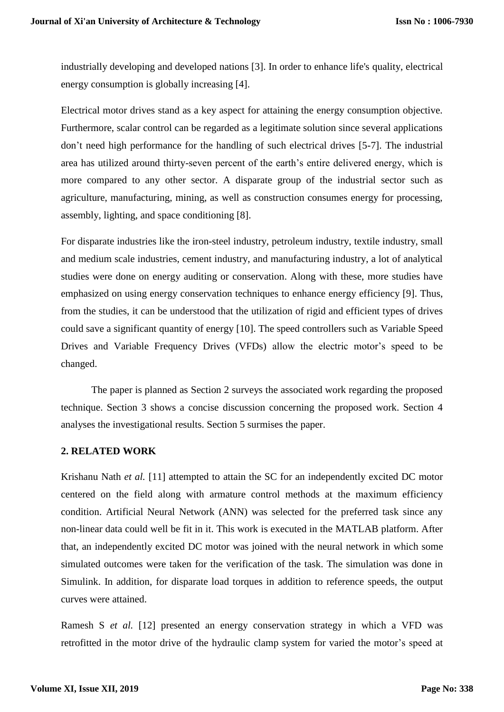industrially developing and developed nations [3]. In order to enhance life's quality, electrical energy consumption is globally increasing [4].

Electrical motor drives stand as a key aspect for attaining the energy consumption objective. Furthermore, scalar control can be regarded as a legitimate solution since several applications don't need high performance for the handling of such electrical drives [5-7]. The industrial area has utilized around thirty-seven percent of the earth's entire delivered energy, which is more compared to any other sector. A disparate group of the industrial sector such as agriculture, manufacturing, mining, as well as construction consumes energy for processing, assembly, lighting, and space conditioning [8].

For disparate industries like the iron-steel industry, petroleum industry, textile industry, small and medium scale industries, cement industry, and manufacturing industry, a lot of analytical studies were done on energy auditing or conservation. Along with these, more studies have emphasized on using energy conservation techniques to enhance energy efficiency [9]. Thus, from the studies, it can be understood that the utilization of rigid and efficient types of drives could save a significant quantity of energy [10]. The speed controllers such as Variable Speed Drives and Variable Frequency Drives (VFDs) allow the electric motor's speed to be changed.

The paper is planned as Section 2 surveys the associated work regarding the proposed technique. Section 3 shows a concise discussion concerning the proposed work. Section 4 analyses the investigational results. Section 5 surmises the paper.

### **2. RELATED WORK**

Krishanu Nath *et al.* [11] attempted to attain the SC for an independently excited DC motor centered on the field along with armature control methods at the maximum efficiency condition. Artificial Neural Network (ANN) was selected for the preferred task since any non-linear data could well be fit in it. This work is executed in the MATLAB platform. After that, an independently excited DC motor was joined with the neural network in which some simulated outcomes were taken for the verification of the task. The simulation was done in Simulink. In addition, for disparate load torques in addition to reference speeds, the output curves were attained.

Ramesh S *et al.* [12] presented an energy conservation strategy in which a VFD was retrofitted in the motor drive of the hydraulic clamp system for varied the motor's speed at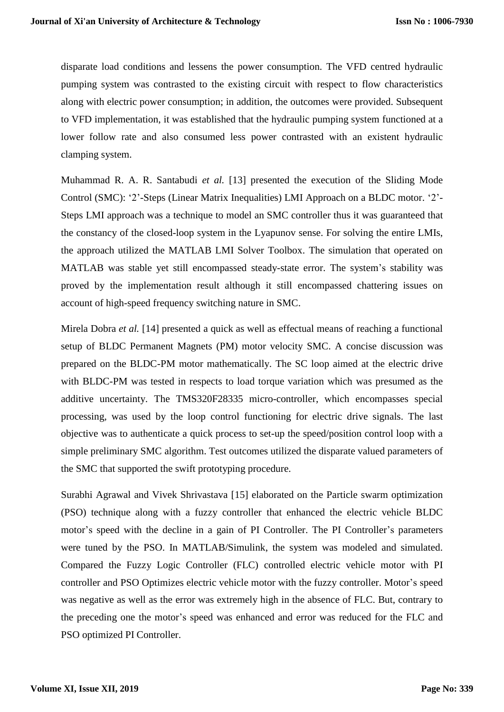disparate load conditions and lessens the power consumption. The VFD centred hydraulic pumping system was contrasted to the existing circuit with respect to flow characteristics along with electric power consumption; in addition, the outcomes were provided. Subsequent to VFD implementation, it was established that the hydraulic pumping system functioned at a lower follow rate and also consumed less power contrasted with an existent hydraulic clamping system.

Muhammad R. A. R. Santabudi *et al.* [13] presented the execution of the Sliding Mode Control (SMC): '2'-Steps (Linear Matrix Inequalities) LMI Approach on a BLDC motor. '2'- Steps LMI approach was a technique to model an SMC controller thus it was guaranteed that the constancy of the closed-loop system in the Lyapunov sense. For solving the entire LMIs, the approach utilized the MATLAB LMI Solver Toolbox. The simulation that operated on MATLAB was stable yet still encompassed steady-state error. The system's stability was proved by the implementation result although it still encompassed chattering issues on account of high-speed frequency switching nature in SMC.

Mirela Dobra *et al.* [14] presented a quick as well as effectual means of reaching a functional setup of BLDC Permanent Magnets (PM) motor velocity SMC. A concise discussion was prepared on the BLDC-PM motor mathematically. The SC loop aimed at the electric drive with BLDC-PM was tested in respects to load torque variation which was presumed as the additive uncertainty. The TMS320F28335 micro-controller, which encompasses special processing, was used by the loop control functioning for electric drive signals. The last objective was to authenticate a quick process to set-up the speed/position control loop with a simple preliminary SMC algorithm. Test outcomes utilized the disparate valued parameters of the SMC that supported the swift prototyping procedure.

Surabhi Agrawal and Vivek Shrivastava [15] elaborated on the Particle swarm optimization (PSO) technique along with a fuzzy controller that enhanced the electric vehicle BLDC motor's speed with the decline in a gain of PI Controller. The PI Controller's parameters were tuned by the PSO. In MATLAB/Simulink, the system was modeled and simulated. Compared the Fuzzy Logic Controller (FLC) controlled electric vehicle motor with PI controller and PSO Optimizes electric vehicle motor with the fuzzy controller. Motor's speed was negative as well as the error was extremely high in the absence of FLC. But, contrary to the preceding one the motor's speed was enhanced and error was reduced for the FLC and PSO optimized PI Controller.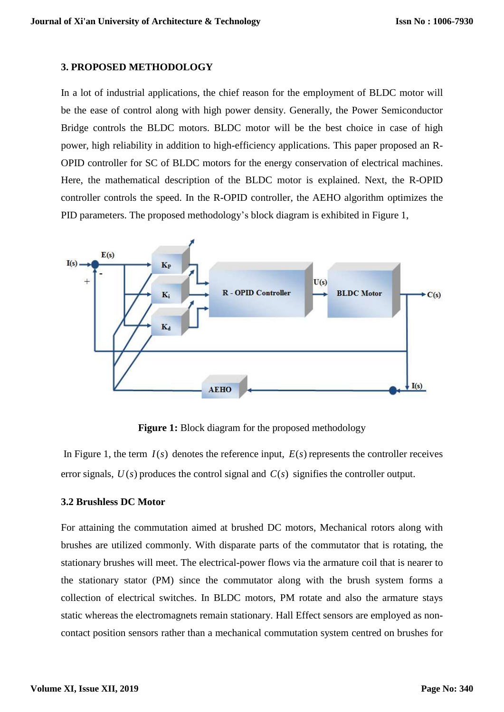#### **3. PROPOSED METHODOLOGY**

In a lot of industrial applications, the chief reason for the employment of BLDC motor will be the ease of control along with high power density. Generally, the Power Semiconductor Bridge controls the BLDC motors. BLDC motor will be the best choice in case of high power, high reliability in addition to high-efficiency applications. This paper proposed an R-OPID controller for SC of BLDC motors for the energy conservation of electrical machines. Here, the mathematical description of the BLDC motor is explained. Next, the R-OPID controller controls the speed. In the R-OPID controller, the AEHO algorithm optimizes the PID parameters. The proposed methodology's block diagram is exhibited in Figure 1,



**Figure 1:** Block diagram for the proposed methodology

In Figure 1, the term  $I(s)$  denotes the reference input,  $E(s)$  represents the controller receives error signals,  $U(s)$  produces the control signal and  $C(s)$  signifies the controller output.

### **3.2 Brushless DC Motor**

For attaining the commutation aimed at brushed DC motors, Mechanical rotors along with brushes are utilized commonly. With disparate parts of the commutator that is rotating, the stationary brushes will meet. The electrical-power flows via the armature coil that is nearer to the stationary stator (PM) since the commutator along with the brush system forms a collection of electrical switches. In BLDC motors, PM rotate and also the armature stays static whereas the electromagnets remain stationary. Hall Effect sensors are employed as noncontact position sensors rather than a mechanical commutation system centred on brushes for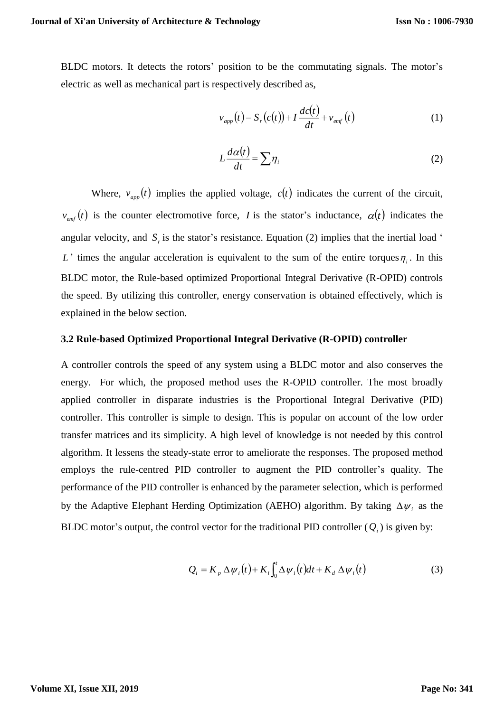BLDC motors. It detects the rotors' position to be the commutating signals. The motor's electric as well as mechanical part is respectively described as,

$$
v_{app}(t) = S_r(c(t)) + I \frac{dc(t)}{dt} + v_{emf}(t)
$$
 (1)

$$
L\frac{d\alpha(t)}{dt} = \sum \eta_i
$$
 (2)

Where,  $v_{app}(t)$  implies the applied voltage,  $c(t)$  indicates the current of the circuit,  $v_{emf}(t)$  is the counter electromotive force, *I* is the stator's inductance,  $\alpha(t)$  indicates the angular velocity, and  $S<sub>r</sub>$  is the stator's resistance. Equation (2) implies that the inertial load ' L' times the angular acceleration is equivalent to the sum of the entire torques  $\eta_i$ . In this BLDC motor, the Rule-based optimized Proportional Integral Derivative (R-OPID) controls the speed. By utilizing this controller, energy conservation is obtained effectively, which is explained in the below section.

#### **3.2 Rule-based Optimized Proportional Integral Derivative (R-OPID) controller**

A controller controls the speed of any system using a BLDC motor and also conserves the energy. For which, the proposed method uses the R-OPID controller. The most broadly applied controller in disparate industries is the Proportional Integral Derivative (PID) controller. This controller is simple to design. This is popular on account of the low order transfer matrices and its simplicity. A high level of knowledge is not needed by this control algorithm. It lessens the steady-state error to ameliorate the responses. The proposed method employs the rule-centred PID controller to augment the PID controller's quality. The performance of the PID controller is enhanced by the parameter selection, which is performed by the Adaptive Elephant Herding Optimization (AEHO) algorithm. By taking  $\Delta \psi_i$  as the BLDC motor's output, the control vector for the traditional PID controller  $(Q_i)$  is given by:

$$
Q_i = K_p \Delta \psi_i(t) + K_i \int_0^t \Delta \psi_i(t) dt + K_d \Delta \psi_i(t)
$$
 (3)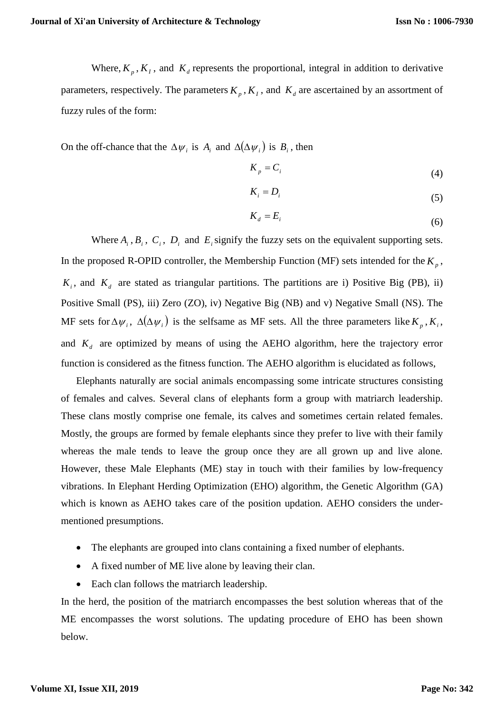Where,  $K_p$ ,  $K_I$ , and  $K_d$  represents the proportional, integral in addition to derivative parameters, respectively. The parameters  $K_p$ ,  $K_I$ , and  $K_d$  are ascertained by an assortment of fuzzy rules of the form:

On the off-chance that the  $\Delta \psi_i$  is  $A_i$  and  $\Delta(\Delta \psi_i)$  is  $B_i$ , then

$$
K_p = C_i \tag{4}
$$

$$
K_i = D_i \tag{5}
$$

$$
K_d = E_i \tag{6}
$$

Where  $A_i$ ,  $B_i$ ,  $C_i$ ,  $D_i$  and  $E_i$  signify the fuzzy sets on the equivalent supporting sets. In the proposed R-OPID controller, the Membership Function (MF) sets intended for the  $K_p$ ,  $K_i$ , and  $K_d$  are stated as triangular partitions. The partitions are i) Positive Big (PB), ii) Positive Small (PS), iii) Zero (ZO), iv) Negative Big (NB) and v) Negative Small (NS). The MF sets for  $\Delta \psi_i$ ,  $\Delta(\Delta \psi_i)$  is the selfsame as MF sets. All the three parameters like  $K_p$ ,  $K_i$ , and  $K_d$  are optimized by means of using the AEHO algorithm, here the trajectory error function is considered as the fitness function. The AEHO algorithm is elucidated as follows,

Elephants naturally are social animals encompassing some intricate structures consisting of females and calves. Several clans of elephants form a group with matriarch leadership. These clans mostly comprise one female, its calves and sometimes certain related females. Mostly, the groups are formed by female elephants since they prefer to live with their family whereas the male tends to leave the group once they are all grown up and live alone. However, these Male Elephants (ME) stay in touch with their families by low-frequency vibrations. In Elephant Herding Optimization (EHO) algorithm, the Genetic Algorithm (GA) which is known as AEHO takes care of the position updation. AEHO considers the undermentioned presumptions.

- The elephants are grouped into clans containing a fixed number of elephants.
- A fixed number of ME live alone by leaving their clan.
- Each clan follows the matriarch leadership.

In the herd, the position of the matriarch encompasses the best solution whereas that of the ME encompasses the worst solutions. The updating procedure of EHO has been shown below.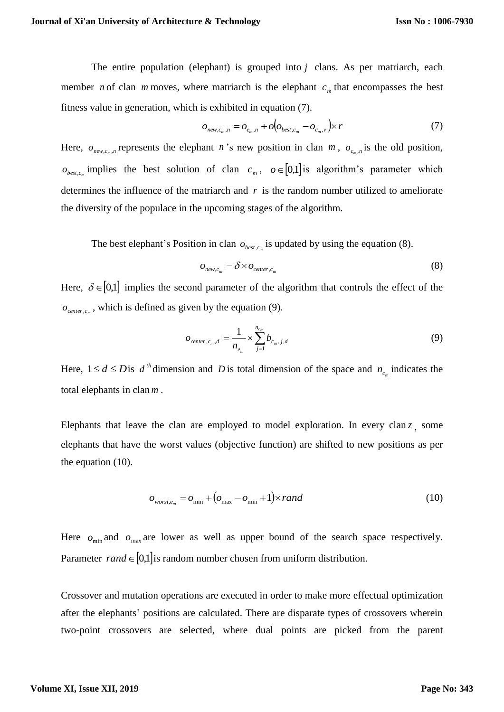The entire population (elephant) is grouped into *j* clans. As per matriarch, each member *n* of clan *m* moves, where matriarch is the elephant  $c_m$  that encompasses the best fitness value in generation, which is exhibited in equation (7).

$$
o_{\text{new},c_m,n} = o_{e_m,n} + o(o_{\text{best},c_m} - o_{c_m,n}) \times r \tag{7}
$$

Here,  $o_{new,c_m,n}$  represents the elephant *n*'s new position in clan *m*,  $o_{c_m,n}$  is the old position,  $o_{best,c_m}$  implies the best solution of clan  $c_m$ ,  $o \in [0,1]$  is algorithm's parameter which determines the influence of the matriarch and  $r$  is the random number utilized to ameliorate the diversity of the populace in the upcoming stages of the algorithm.

The best elephant's Position in clan  $o_{best,c_m}$  is updated by using the equation (8).

$$
O_{new,c_m} = \delta \times O_{center,c_m} \tag{8}
$$

Here,  $\delta \in [0,1]$  implies the second parameter of the algorithm that controls the effect of the  $o_{center,c_m}$ , which is defined as given by the equation (9).

$$
o_{center,c_m,d} = \frac{1}{n_{e_m}} \times \sum_{j=1}^{n_{c_m}} b_{c_m,j,d}
$$
(9)

Here,  $1 \le d \le D$  is  $d^{th}$  dimension and D is total dimension of the space and  $n_{c_m}$  indicates the total elephants in clan *<sup>m</sup>* .

Elephants that leave the clan are employed to model exploration. In every clan  $z$ , some elephants that have the worst values (objective function) are shifted to new positions as per the equation (10).

$$
o_{worst, e_m} = o_{\min} + (o_{\max} - o_{\min} + 1) \times rand \tag{10}
$$

Here  $o_{\min}$  and  $o_{\max}$  are lower as well as upper bound of the search space respectively. Parameter  $rand \in [0,1]$  is random number chosen from uniform distribution.

Crossover and mutation operations are executed in order to make more effectual optimization after the elephants' positions are calculated. There are disparate types of crossovers wherein two-point crossovers are selected, where dual points are picked from the parent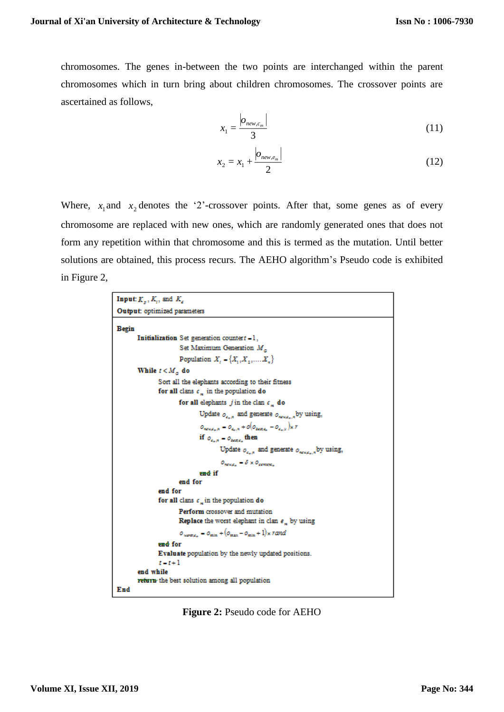chromosomes. The genes in-between the two points are interchanged within the parent chromosomes which in turn bring about children chromosomes. The crossover points are ascertained as follows,

$$
x_1 = \frac{|o_{new,c_m}|}{3} \tag{11}
$$

$$
x_2 = x_1 + \frac{|o_{new, e_m}|}{2}
$$
 (12)

Where,  $x_1$  and  $x_2$  denotes the '2'-crossover points. After that, some genes as of every chromosome are replaced with new ones, which are randomly generated ones that does not form any repetition within that chromosome and this is termed as the mutation. Until better solutions are obtained, this process recurs. The AEHO algorithm's Pseudo code is exhibited in Figure 2,

```
Input: K_n, K_n, and K_nOutput: optimized parameters
Begin
         Initialization Set generation countert - 1,
                           Set Maximum Generation M.
                            Population X = \{X_1, X_2, \ldots, X_n\}While t < M_{\odot} do
                   Sort all the elephants according to their fitness
                   for all clans c_{-} in the population do
                            for all elephants j in the clan c_{\perp} do
                                     Update o_{\epsilon_{n},s} and generate o_{\text{meas},s} by using,
                                      \phi_{max, \epsilon_n, \kappa} = \phi_{\epsilon_n, \kappa} + o(\phi_{max, \epsilon_n} - \phi_{\epsilon_n, \kappa})_{\mathbb{X}} \, rif o_{c_1, s} = o_{base} then
                                               Update o_{\epsilon_n, s} and generate o_{\kappa_n, \epsilon_n, s} by using,
                                               O_{\text{RDCZ}_m} = \delta \times O_{\text{RDCZ}_m}and if
                            end for
                   end for
                   for all clans c_n in the population do
                            Perform crossover and mutation
                            Replace the worst elephant in clan \epsilon_n by using
                            o_{\text{source}} = o_{\text{min}} + (o_{\text{max}} - o_{\text{min}} + 1) \times randend for
                  Evaluate population by the newly updated positions.
                   t-t+1end while
         return the best solution among all population
End
```
**Figure 2:** Pseudo code for AEHO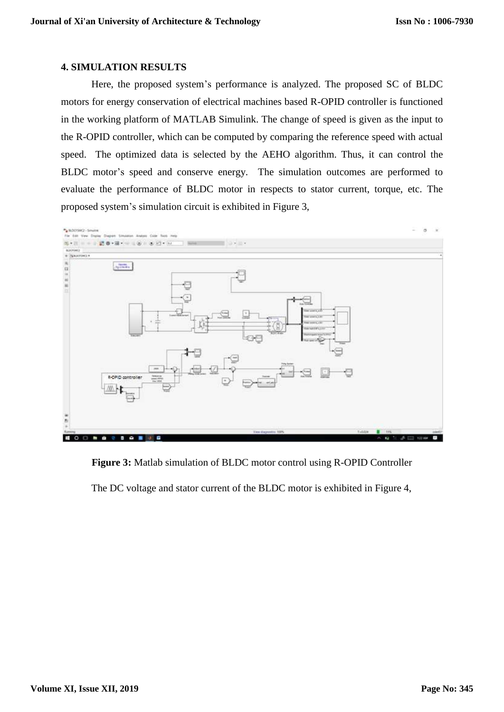#### **4. SIMULATION RESULTS**

Here, the proposed system's performance is analyzed. The proposed SC of BLDC motors for energy conservation of electrical machines based R-OPID controller is functioned in the working platform of MATLAB Simulink. The change of speed is given as the input to the R-OPID controller, which can be computed by comparing the reference speed with actual speed. The optimized data is selected by the AEHO algorithm. Thus, it can control the BLDC motor's speed and conserve energy. The simulation outcomes are performed to evaluate the performance of BLDC motor in respects to stator current, torque, etc. The proposed system's simulation circuit is exhibited in Figure 3,



**Figure 3:** Matlab simulation of BLDC motor control using R-OPID Controller

The DC voltage and stator current of the BLDC motor is exhibited in Figure 4,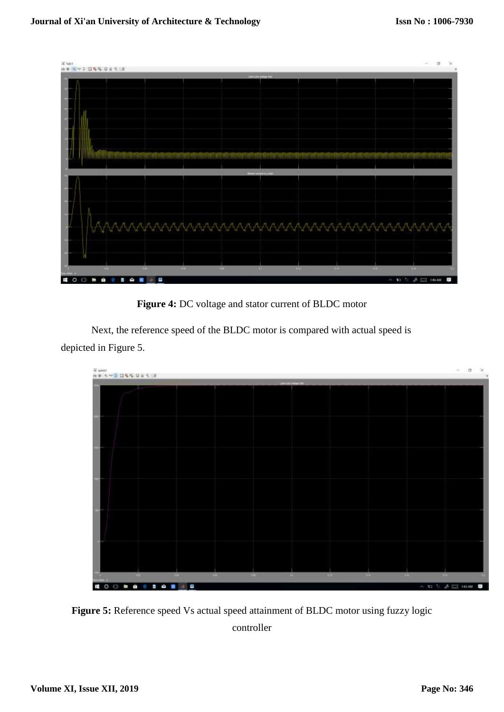

**Figure 4:** DC voltage and stator current of BLDC motor

Next, the reference speed of the BLDC motor is compared with actual speed is depicted in Figure 5.



**Figure 5:** Reference speed Vs actual speed attainment of BLDC motor using fuzzy logic controller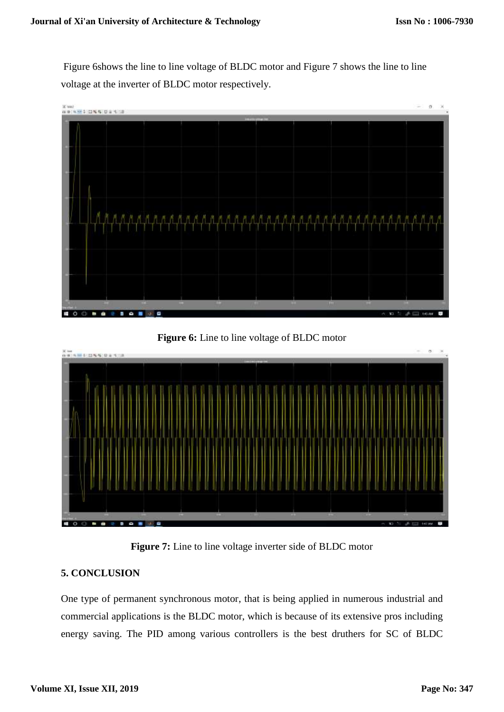Figure 6shows the line to line voltage of BLDC motor and Figure 7 shows the line to line voltage at the inverter of BLDC motor respectively.







**Figure 7:** Line to line voltage inverter side of BLDC motor

## **5. CONCLUSION**

One type of permanent synchronous motor, that is being applied in numerous industrial and commercial applications is the BLDC motor, which is because of its extensive pros including energy saving. The PID among various controllers is the best druthers for SC of BLDC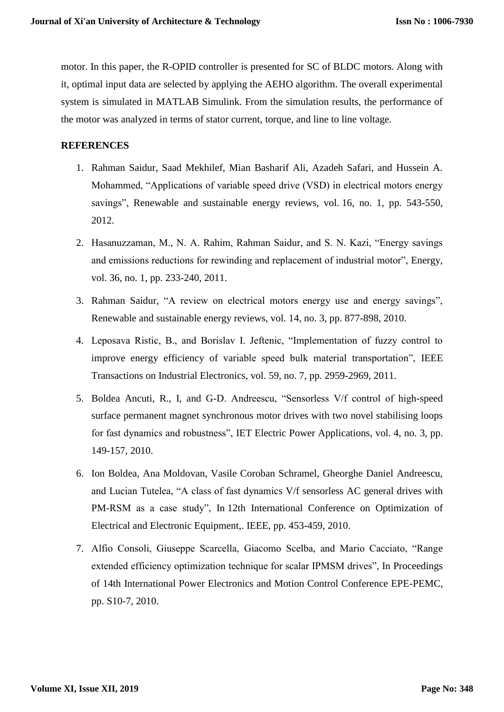motor. In this paper, the R-OPID controller is presented for SC of BLDC motors. Along with it, optimal input data are selected by applying the AEHO algorithm. The overall experimental system is simulated in MATLAB Simulink. From the simulation results, the performance of the motor was analyzed in terms of stator current, torque, and line to line voltage.

## **REFERENCES**

- 1. Rahman Saidur, Saad Mekhilef, Mian Basharif Ali, Azadeh Safari, and Hussein A. Mohammed, "Applications of variable speed drive (VSD) in electrical motors energy savings", Renewable and sustainable energy reviews, vol. 16, no. 1, pp. 543-550, 2012.
- 2. Hasanuzzaman, M., N. A. Rahim, Rahman Saidur, and S. N. Kazi, "Energy savings and emissions reductions for rewinding and replacement of industrial motor", Energy, vol. 36, no. 1, pp. 233-240, 2011.
- 3. Rahman Saidur, "A review on electrical motors energy use and energy savings", Renewable and sustainable energy reviews, vol. 14, no. 3, pp. 877-898, 2010.
- 4. Leposava Ristic, B., and Borislav I. Jeftenic, "Implementation of fuzzy control to improve energy efficiency of variable speed bulk material transportation", IEEE Transactions on Industrial Electronics, vol. 59, no. 7, pp. 2959-2969, 2011.
- 5. Boldea Ancuti, R., I, and G-D. Andreescu, "Sensorless V/f control of high-speed surface permanent magnet synchronous motor drives with two novel stabilising loops for fast dynamics and robustness", IET Electric Power Applications, vol. 4, no. 3, pp. 149-157, 2010.
- 6. Ion Boldea, Ana Moldovan, Vasile Coroban Schramel, Gheorghe Daniel Andreescu, and Lucian Tutelea, "A class of fast dynamics V/f sensorless AC general drives with PM-RSM as a case study", In 12th International Conference on Optimization of Electrical and Electronic Equipment,. IEEE, pp. 453-459, 2010.
- 7. Alfio Consoli, Giuseppe Scarcella, Giacomo Scelba, and Mario Cacciato, "Range extended efficiency optimization technique for scalar IPMSM drives", In Proceedings of 14th International Power Electronics and Motion Control Conference EPE-PEMC, pp. S10-7, 2010.